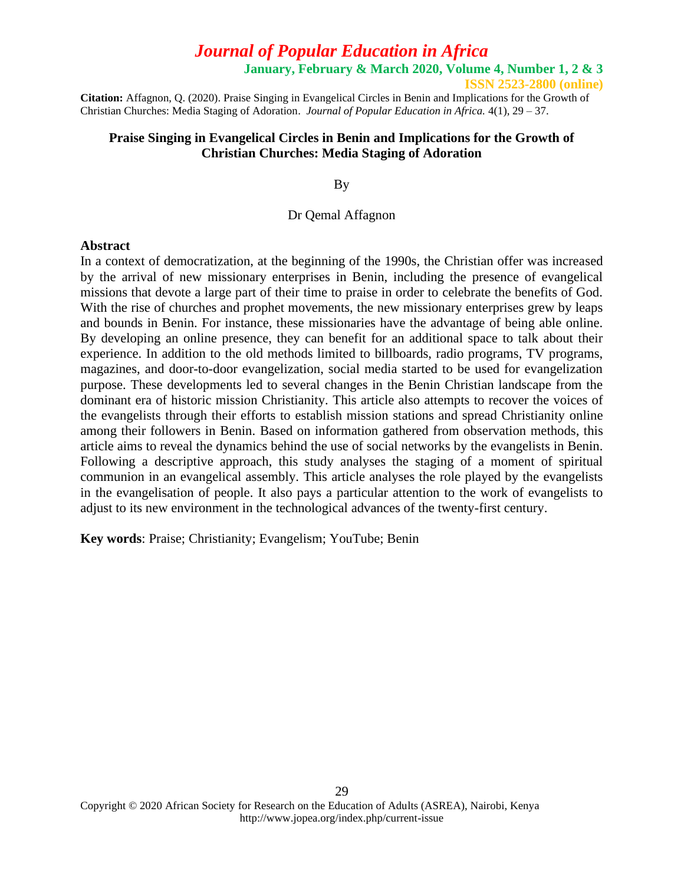**January, February & March 2020, Volume 4, Number 1, 2 & 3**

**ISSN 2523-2800 (online)**

**Citation:** Affagnon, Q. (2020). Praise Singing in Evangelical Circles in Benin and Implications for the Growth of Christian Churches: Media Staging of Adoration. *Journal of Popular Education in Africa.* 4(1), 29 – 37.

## **Praise Singing in Evangelical Circles in Benin and Implications for the Growth of Christian Churches: Media Staging of Adoration**

### By

## Dr Qemal Affagnon

#### **Abstract**

In a context of democratization, at the beginning of the 1990s, the Christian offer was increased by the arrival of new missionary enterprises in Benin, including the presence of evangelical missions that devote a large part of their time to praise in order to celebrate the benefits of God. With the rise of churches and prophet movements, the new missionary enterprises grew by leaps and bounds in Benin. For instance, these missionaries have the advantage of being able online. By developing an online presence, they can benefit for an additional space to talk about their experience. In addition to the old methods limited to billboards, radio programs, TV programs, magazines, and door-to-door evangelization, social media started to be used for evangelization purpose. These developments led to several changes in the Benin Christian landscape from the dominant era of historic mission Christianity. This article also attempts to recover the voices of the evangelists through their efforts to establish mission stations and spread Christianity online among their followers in Benin. Based on information gathered from observation methods, this article aims to reveal the dynamics behind the use of social networks by the evangelists in Benin. Following a descriptive approach, this study analyses the staging of a moment of spiritual communion in an evangelical assembly. This article analyses the role played by the evangelists in the evangelisation of people. It also pays a particular attention to the work of evangelists to adjust to its new environment in the technological advances of the twenty-first century.

**Key words**: Praise; Christianity; Evangelism; YouTube; Benin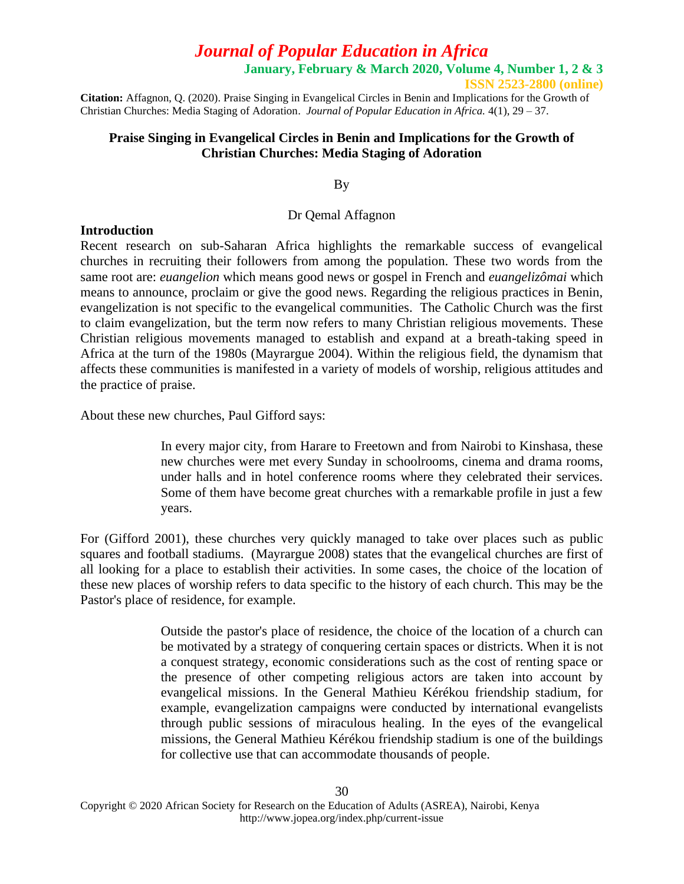**January, February & March 2020, Volume 4, Number 1, 2 & 3**

**ISSN 2523-2800 (online)**

**Citation:** Affagnon, Q. (2020). Praise Singing in Evangelical Circles in Benin and Implications for the Growth of Christian Churches: Media Staging of Adoration. *Journal of Popular Education in Africa.* 4(1), 29 – 37.

## **Praise Singing in Evangelical Circles in Benin and Implications for the Growth of Christian Churches: Media Staging of Adoration**

## By

### Dr Qemal Affagnon

### **Introduction**

Recent research on sub-Saharan Africa highlights the remarkable success of evangelical churches in recruiting their followers from among the population. These two words from the same root are: *euangelion* which means good news or gospel in French and *euangelizômai* which means to announce, proclaim or give the good news. Regarding the religious practices in Benin, evangelization is not specific to the evangelical communities. The Catholic Church was the first to claim evangelization, but the term now refers to many Christian religious movements. These Christian religious movements managed to establish and expand at a breath-taking speed in Africa at the turn of the 1980s (Mayrargue 2004). Within the religious field, the dynamism that affects these communities is manifested in a variety of models of worship, religious attitudes and the practice of praise.

About these new churches, Paul Gifford says:

In every major city, from Harare to Freetown and from Nairobi to Kinshasa, these new churches were met every Sunday in schoolrooms, cinema and drama rooms, under halls and in hotel conference rooms where they celebrated their services. Some of them have become great churches with a remarkable profile in just a few years.

For (Gifford 2001), these churches very quickly managed to take over places such as public squares and football stadiums. (Mayrargue 2008) states that the evangelical churches are first of all looking for a place to establish their activities. In some cases, the choice of the location of these new places of worship refers to data specific to the history of each church. This may be the Pastor's place of residence, for example.

> Outside the pastor's place of residence, the choice of the location of a church can be motivated by a strategy of conquering certain spaces or districts. When it is not a conquest strategy, economic considerations such as the cost of renting space or the presence of other competing religious actors are taken into account by evangelical missions. In the General Mathieu Kérékou friendship stadium, for example, evangelization campaigns were conducted by international evangelists through public sessions of miraculous healing. In the eyes of the evangelical missions, the General Mathieu Kérékou friendship stadium is one of the buildings for collective use that can accommodate thousands of people.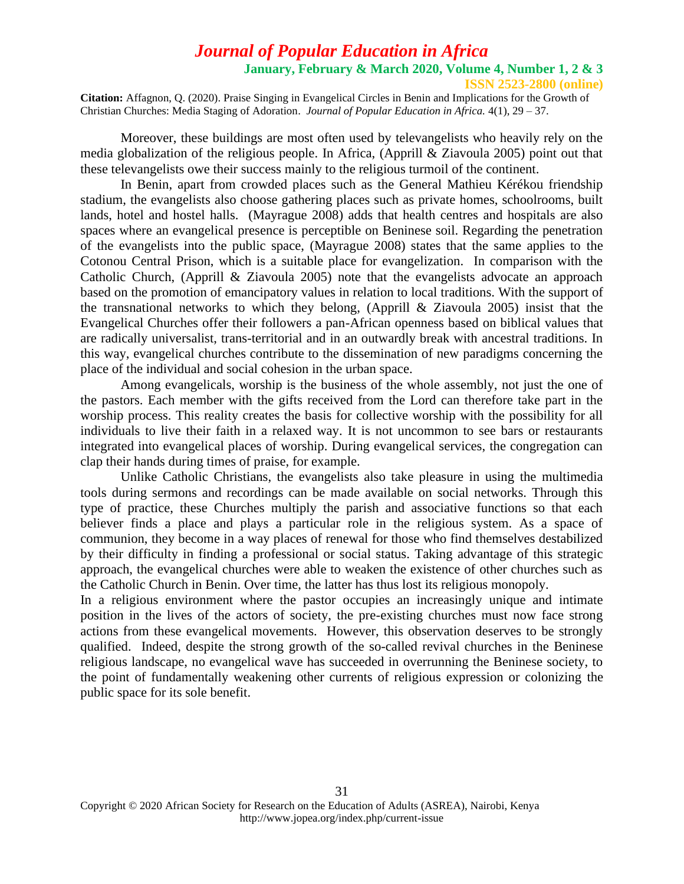**January, February & March 2020, Volume 4, Number 1, 2 & 3 ISSN 2523-2800 (online)**

**Citation:** Affagnon, Q. (2020). Praise Singing in Evangelical Circles in Benin and Implications for the Growth of Christian Churches: Media Staging of Adoration. *Journal of Popular Education in Africa.* 4(1), 29 – 37.

Moreover, these buildings are most often used by televangelists who heavily rely on the media globalization of the religious people. In Africa, (Apprill & Ziavoula 2005) point out that these televangelists owe their success mainly to the religious turmoil of the continent.

In Benin, apart from crowded places such as the General Mathieu Kérékou friendship stadium, the evangelists also choose gathering places such as private homes, schoolrooms, built lands, hotel and hostel halls. (Mayrague 2008) adds that health centres and hospitals are also spaces where an evangelical presence is perceptible on Beninese soil. Regarding the penetration of the evangelists into the public space, (Mayrague 2008) states that the same applies to the Cotonou Central Prison, which is a suitable place for evangelization. In comparison with the Catholic Church, (Apprill & Ziavoula 2005) note that the evangelists advocate an approach based on the promotion of emancipatory values in relation to local traditions. With the support of the transnational networks to which they belong, (Apprill & Ziavoula 2005) insist that the Evangelical Churches offer their followers a pan-African openness based on biblical values that are radically universalist, trans-territorial and in an outwardly break with ancestral traditions. In this way, evangelical churches contribute to the dissemination of new paradigms concerning the place of the individual and social cohesion in the urban space.

Among evangelicals, worship is the business of the whole assembly, not just the one of the pastors. Each member with the gifts received from the Lord can therefore take part in the worship process. This reality creates the basis for collective worship with the possibility for all individuals to live their faith in a relaxed way. It is not uncommon to see bars or restaurants integrated into evangelical places of worship. During evangelical services, the congregation can clap their hands during times of praise, for example.

Unlike Catholic Christians, the evangelists also take pleasure in using the multimedia tools during sermons and recordings can be made available on social networks. Through this type of practice, these Churches multiply the parish and associative functions so that each believer finds a place and plays a particular role in the religious system. As a space of communion, they become in a way places of renewal for those who find themselves destabilized by their difficulty in finding a professional or social status. Taking advantage of this strategic approach, the evangelical churches were able to weaken the existence of other churches such as the Catholic Church in Benin. Over time, the latter has thus lost its religious monopoly.

In a religious environment where the pastor occupies an increasingly unique and intimate position in the lives of the actors of society, the pre-existing churches must now face strong actions from these evangelical movements. However, this observation deserves to be strongly qualified. Indeed, despite the strong growth of the so-called revival churches in the Beninese religious landscape, no evangelical wave has succeeded in overrunning the Beninese society, to the point of fundamentally weakening other currents of religious expression or colonizing the public space for its sole benefit.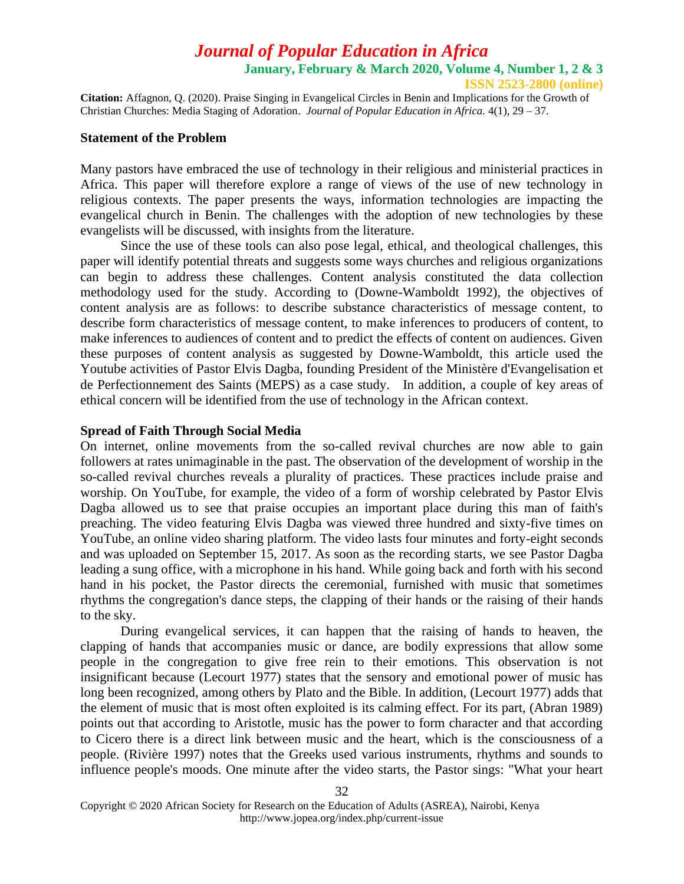**January, February & March 2020, Volume 4, Number 1, 2 & 3**

**ISSN 2523-2800 (online)**

**Citation:** Affagnon, Q. (2020). Praise Singing in Evangelical Circles in Benin and Implications for the Growth of Christian Churches: Media Staging of Adoration. *Journal of Popular Education in Africa.* 4(1), 29 – 37.

#### **Statement of the Problem**

Many pastors have embraced the use of technology in their religious and ministerial practices in Africa. This paper will therefore explore a range of views of the use of new technology in religious contexts. The paper presents the ways, information technologies are impacting the evangelical church in Benin. The challenges with the adoption of new technologies by these evangelists will be discussed, with insights from the literature.

Since the use of these tools can also pose legal, ethical, and theological challenges, this paper will identify potential threats and suggests some ways churches and religious organizations can begin to address these challenges. Content analysis constituted the data collection methodology used for the study. According to (Downe-Wamboldt 1992), the objectives of content analysis are as follows: to describe substance characteristics of message content, to describe form characteristics of message content, to make inferences to producers of content, to make inferences to audiences of content and to predict the effects of content on audiences. Given these purposes of content analysis as suggested by Downe-Wamboldt, this article used the Youtube activities of Pastor Elvis Dagba, founding President of the Ministère d'Evangelisation et de Perfectionnement des Saints (MEPS) as a case study. In addition, a couple of key areas of ethical concern will be identified from the use of technology in the African context.

#### **Spread of Faith Through Social Media**

On internet, online movements from the so-called revival churches are now able to gain followers at rates unimaginable in the past. The observation of the development of worship in the so-called revival churches reveals a plurality of practices. These practices include praise and worship. On YouTube, for example, the video of a form of worship celebrated by Pastor Elvis Dagba allowed us to see that praise occupies an important place during this man of faith's preaching. The video featuring Elvis Dagba was viewed three hundred and sixty-five times on YouTube, an online video sharing platform. The video lasts four minutes and forty-eight seconds and was uploaded on September 15, 2017. As soon as the recording starts, we see Pastor Dagba leading a sung office, with a microphone in his hand. While going back and forth with his second hand in his pocket, the Pastor directs the ceremonial, furnished with music that sometimes rhythms the congregation's dance steps, the clapping of their hands or the raising of their hands to the sky.

During evangelical services, it can happen that the raising of hands to heaven, the clapping of hands that accompanies music or dance, are bodily expressions that allow some people in the congregation to give free rein to their emotions. This observation is not insignificant because (Lecourt 1977) states that the sensory and emotional power of music has long been recognized, among others by Plato and the Bible. In addition, (Lecourt 1977) adds that the element of music that is most often exploited is its calming effect. For its part, (Abran 1989) points out that according to Aristotle, music has the power to form character and that according to Cicero there is a direct link between music and the heart, which is the consciousness of a people. (Rivière 1997) notes that the Greeks used various instruments, rhythms and sounds to influence people's moods. One minute after the video starts, the Pastor sings: "What your heart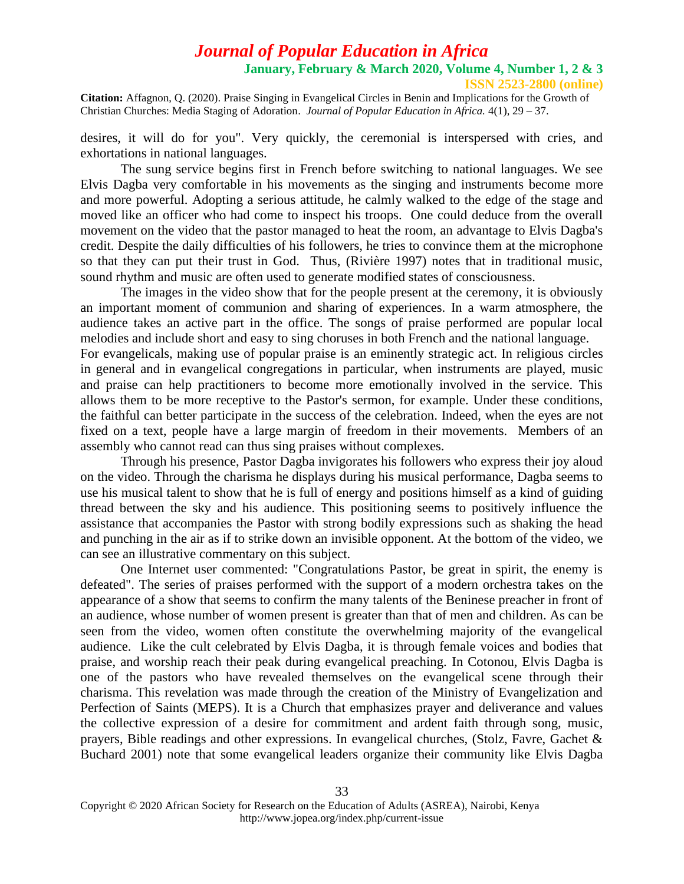**January, February & March 2020, Volume 4, Number 1, 2 & 3**

**ISSN 2523-2800 (online)**

**Citation:** Affagnon, Q. (2020). Praise Singing in Evangelical Circles in Benin and Implications for the Growth of Christian Churches: Media Staging of Adoration. *Journal of Popular Education in Africa.* 4(1), 29 – 37.

desires, it will do for you". Very quickly, the ceremonial is interspersed with cries, and exhortations in national languages.

The sung service begins first in French before switching to national languages. We see Elvis Dagba very comfortable in his movements as the singing and instruments become more and more powerful. Adopting a serious attitude, he calmly walked to the edge of the stage and moved like an officer who had come to inspect his troops. One could deduce from the overall movement on the video that the pastor managed to heat the room, an advantage to Elvis Dagba's credit. Despite the daily difficulties of his followers, he tries to convince them at the microphone so that they can put their trust in God. Thus, (Rivière 1997) notes that in traditional music, sound rhythm and music are often used to generate modified states of consciousness.

The images in the video show that for the people present at the ceremony, it is obviously an important moment of communion and sharing of experiences. In a warm atmosphere, the audience takes an active part in the office. The songs of praise performed are popular local melodies and include short and easy to sing choruses in both French and the national language.

For evangelicals, making use of popular praise is an eminently strategic act. In religious circles in general and in evangelical congregations in particular, when instruments are played, music and praise can help practitioners to become more emotionally involved in the service. This allows them to be more receptive to the Pastor's sermon, for example. Under these conditions, the faithful can better participate in the success of the celebration. Indeed, when the eyes are not fixed on a text, people have a large margin of freedom in their movements. Members of an assembly who cannot read can thus sing praises without complexes.

Through his presence, Pastor Dagba invigorates his followers who express their joy aloud on the video. Through the charisma he displays during his musical performance, Dagba seems to use his musical talent to show that he is full of energy and positions himself as a kind of guiding thread between the sky and his audience. This positioning seems to positively influence the assistance that accompanies the Pastor with strong bodily expressions such as shaking the head and punching in the air as if to strike down an invisible opponent. At the bottom of the video, we can see an illustrative commentary on this subject.

One Internet user commented: "Congratulations Pastor, be great in spirit, the enemy is defeated". The series of praises performed with the support of a modern orchestra takes on the appearance of a show that seems to confirm the many talents of the Beninese preacher in front of an audience, whose number of women present is greater than that of men and children. As can be seen from the video, women often constitute the overwhelming majority of the evangelical audience. Like the cult celebrated by Elvis Dagba, it is through female voices and bodies that praise, and worship reach their peak during evangelical preaching. In Cotonou, Elvis Dagba is one of the pastors who have revealed themselves on the evangelical scene through their charisma. This revelation was made through the creation of the Ministry of Evangelization and Perfection of Saints (MEPS). It is a Church that emphasizes prayer and deliverance and values the collective expression of a desire for commitment and ardent faith through song, music, prayers, Bible readings and other expressions. In evangelical churches, (Stolz, Favre, Gachet & Buchard 2001) note that some evangelical leaders organize their community like Elvis Dagba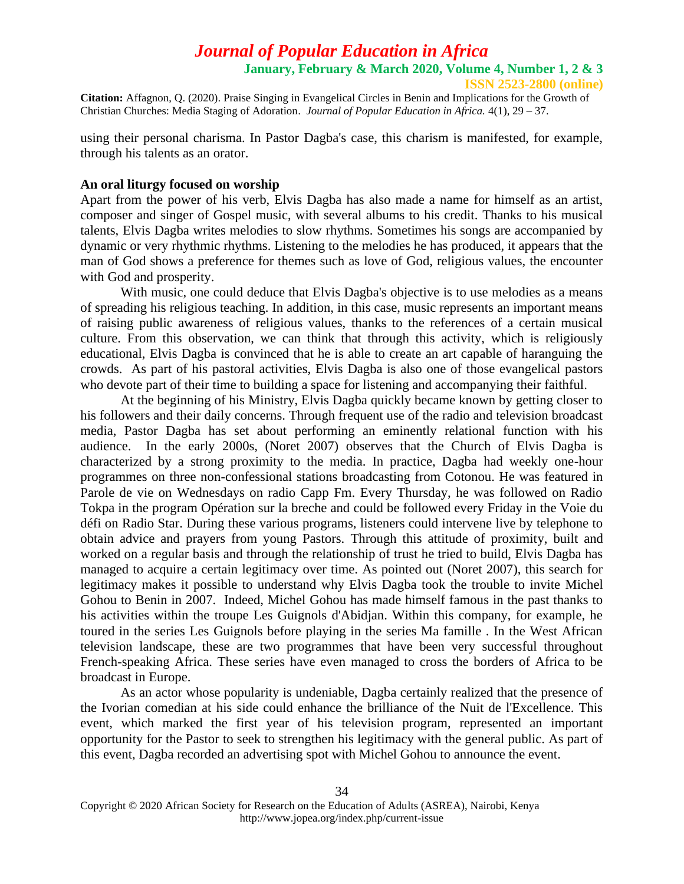**January, February & March 2020, Volume 4, Number 1, 2 & 3**

**ISSN 2523-2800 (online)**

**Citation:** Affagnon, Q. (2020). Praise Singing in Evangelical Circles in Benin and Implications for the Growth of Christian Churches: Media Staging of Adoration. *Journal of Popular Education in Africa.* 4(1), 29 – 37.

using their personal charisma. In Pastor Dagba's case, this charism is manifested, for example, through his talents as an orator.

### **An oral liturgy focused on worship**

Apart from the power of his verb, Elvis Dagba has also made a name for himself as an artist, composer and singer of Gospel music, with several albums to his credit. Thanks to his musical talents, Elvis Dagba writes melodies to slow rhythms. Sometimes his songs are accompanied by dynamic or very rhythmic rhythms. Listening to the melodies he has produced, it appears that the man of God shows a preference for themes such as love of God, religious values, the encounter with God and prosperity.

With music, one could deduce that Elvis Dagba's objective is to use melodies as a means of spreading his religious teaching. In addition, in this case, music represents an important means of raising public awareness of religious values, thanks to the references of a certain musical culture. From this observation, we can think that through this activity, which is religiously educational, Elvis Dagba is convinced that he is able to create an art capable of haranguing the crowds. As part of his pastoral activities, Elvis Dagba is also one of those evangelical pastors who devote part of their time to building a space for listening and accompanying their faithful.

At the beginning of his Ministry, Elvis Dagba quickly became known by getting closer to his followers and their daily concerns. Through frequent use of the radio and television broadcast media, Pastor Dagba has set about performing an eminently relational function with his audience. In the early 2000s, (Noret 2007) observes that the Church of Elvis Dagba is characterized by a strong proximity to the media. In practice, Dagba had weekly one-hour programmes on three non-confessional stations broadcasting from Cotonou. He was featured in Parole de vie on Wednesdays on radio Capp Fm. Every Thursday, he was followed on Radio Tokpa in the program Opération sur la breche and could be followed every Friday in the Voie du défi on Radio Star. During these various programs, listeners could intervene live by telephone to obtain advice and prayers from young Pastors. Through this attitude of proximity, built and worked on a regular basis and through the relationship of trust he tried to build, Elvis Dagba has managed to acquire a certain legitimacy over time. As pointed out (Noret 2007), this search for legitimacy makes it possible to understand why Elvis Dagba took the trouble to invite Michel Gohou to Benin in 2007. Indeed, Michel Gohou has made himself famous in the past thanks to his activities within the troupe Les Guignols d'Abidjan. Within this company, for example, he toured in the series Les Guignols before playing in the series Ma famille . In the West African television landscape, these are two programmes that have been very successful throughout French-speaking Africa. These series have even managed to cross the borders of Africa to be broadcast in Europe.

As an actor whose popularity is undeniable, Dagba certainly realized that the presence of the Ivorian comedian at his side could enhance the brilliance of the Nuit de l'Excellence. This event, which marked the first year of his television program, represented an important opportunity for the Pastor to seek to strengthen his legitimacy with the general public. As part of this event, Dagba recorded an advertising spot with Michel Gohou to announce the event.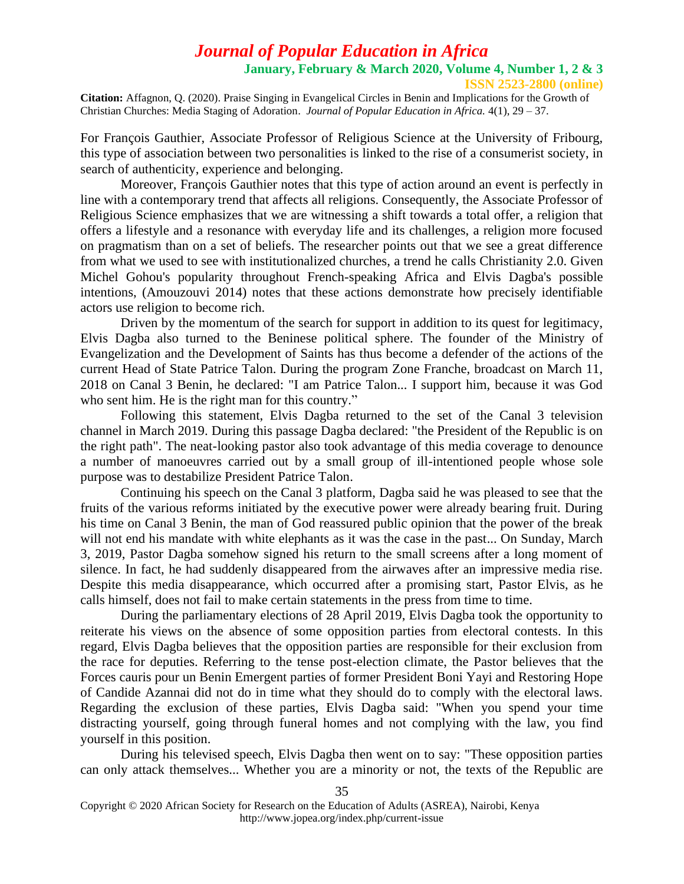**January, February & March 2020, Volume 4, Number 1, 2 & 3 ISSN 2523-2800 (online)**

**Citation:** Affagnon, Q. (2020). Praise Singing in Evangelical Circles in Benin and Implications for the Growth of Christian Churches: Media Staging of Adoration. *Journal of Popular Education in Africa.* 4(1), 29 – 37.

For François Gauthier, Associate Professor of Religious Science at the University of Fribourg, this type of association between two personalities is linked to the rise of a consumerist society, in search of authenticity, experience and belonging.

Moreover, François Gauthier notes that this type of action around an event is perfectly in line with a contemporary trend that affects all religions. Consequently, the Associate Professor of Religious Science emphasizes that we are witnessing a shift towards a total offer, a religion that offers a lifestyle and a resonance with everyday life and its challenges, a religion more focused on pragmatism than on a set of beliefs. The researcher points out that we see a great difference from what we used to see with institutionalized churches, a trend he calls Christianity 2.0. Given Michel Gohou's popularity throughout French-speaking Africa and Elvis Dagba's possible intentions, (Amouzouvi 2014) notes that these actions demonstrate how precisely identifiable actors use religion to become rich.

Driven by the momentum of the search for support in addition to its quest for legitimacy, Elvis Dagba also turned to the Beninese political sphere. The founder of the Ministry of Evangelization and the Development of Saints has thus become a defender of the actions of the current Head of State Patrice Talon. During the program Zone Franche, broadcast on March 11, 2018 on Canal 3 Benin, he declared: "I am Patrice Talon... I support him, because it was God who sent him. He is the right man for this country."

Following this statement, Elvis Dagba returned to the set of the Canal 3 television channel in March 2019. During this passage Dagba declared: "the President of the Republic is on the right path". The neat-looking pastor also took advantage of this media coverage to denounce a number of manoeuvres carried out by a small group of ill-intentioned people whose sole purpose was to destabilize President Patrice Talon.

Continuing his speech on the Canal 3 platform, Dagba said he was pleased to see that the fruits of the various reforms initiated by the executive power were already bearing fruit. During his time on Canal 3 Benin, the man of God reassured public opinion that the power of the break will not end his mandate with white elephants as it was the case in the past... On Sunday, March 3, 2019, Pastor Dagba somehow signed his return to the small screens after a long moment of silence. In fact, he had suddenly disappeared from the airwaves after an impressive media rise. Despite this media disappearance, which occurred after a promising start, Pastor Elvis, as he calls himself, does not fail to make certain statements in the press from time to time.

During the parliamentary elections of 28 April 2019, Elvis Dagba took the opportunity to reiterate his views on the absence of some opposition parties from electoral contests. In this regard, Elvis Dagba believes that the opposition parties are responsible for their exclusion from the race for deputies. Referring to the tense post-election climate, the Pastor believes that the Forces cauris pour un Benin Emergent parties of former President Boni Yayi and Restoring Hope of Candide Azannai did not do in time what they should do to comply with the electoral laws. Regarding the exclusion of these parties, Elvis Dagba said: "When you spend your time distracting yourself, going through funeral homes and not complying with the law, you find yourself in this position.

During his televised speech, Elvis Dagba then went on to say: "These opposition parties can only attack themselves... Whether you are a minority or not, the texts of the Republic are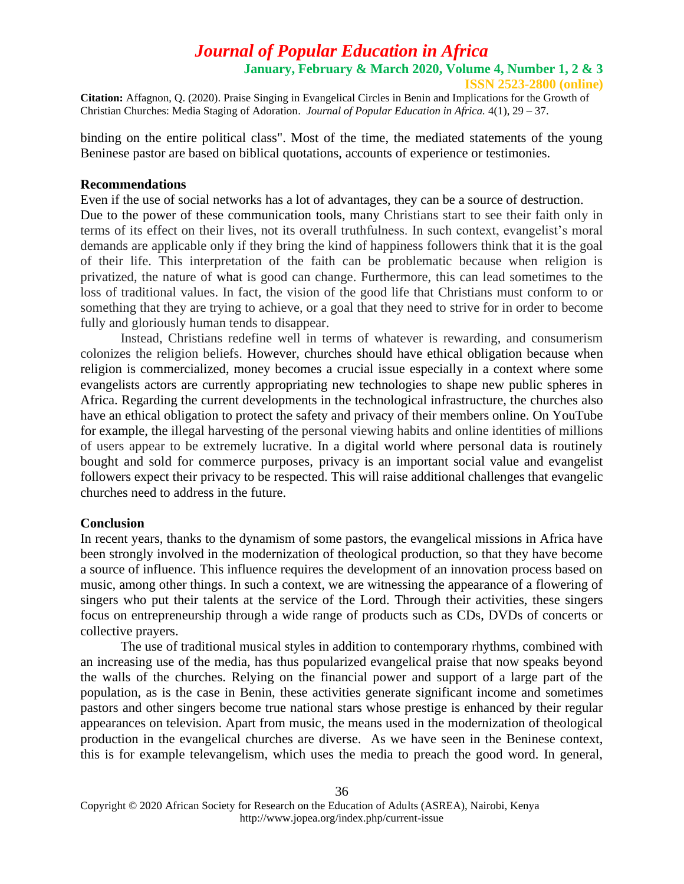**January, February & March 2020, Volume 4, Number 1, 2 & 3**

**ISSN 2523-2800 (online)**

**Citation:** Affagnon, Q. (2020). Praise Singing in Evangelical Circles in Benin and Implications for the Growth of Christian Churches: Media Staging of Adoration. *Journal of Popular Education in Africa.* 4(1), 29 – 37.

binding on the entire political class". Most of the time, the mediated statements of the young Beninese pastor are based on biblical quotations, accounts of experience or testimonies.

### **Recommendations**

Even if the use of social networks has a lot of advantages, they can be a source of destruction. Due to the power of these communication tools, many Christians start to see their faith only in terms of its effect on their lives, not its overall truthfulness. In such context, evangelist's moral demands are applicable only if they bring the kind of happiness followers think that it is the goal of their life. This interpretation of the faith can be problematic because when religion is privatized, the nature of what is good can change. Furthermore, this can lead sometimes to the loss of traditional values. In fact, the vision of the good life that Christians must conform to or something that they are trying to achieve, or a goal that they need to strive for in order to become fully and gloriously human tends to disappear.

Instead, Christians redefine well in terms of whatever is rewarding, and consumerism colonizes the religion beliefs. However, churches should have ethical obligation because when religion is commercialized, money becomes a crucial issue especially in a context where some evangelists actors are currently appropriating new technologies to shape new public spheres in Africa. Regarding the current developments in the technological infrastructure, the churches also have an ethical obligation to protect the safety and privacy of their members online. On YouTube for example, the illegal harvesting of the personal viewing habits and online identities of millions of users appear to be extremely lucrative. In a digital world where personal data is routinely bought and sold for commerce purposes, privacy is an important social value and evangelist followers expect their privacy to be respected. This will raise additional challenges that evangelic churches need to address in the future.

### **Conclusion**

In recent years, thanks to the dynamism of some pastors, the evangelical missions in Africa have been strongly involved in the modernization of theological production, so that they have become a source of influence. This influence requires the development of an innovation process based on music, among other things. In such a context, we are witnessing the appearance of a flowering of singers who put their talents at the service of the Lord. Through their activities, these singers focus on entrepreneurship through a wide range of products such as CDs, DVDs of concerts or collective prayers.

The use of traditional musical styles in addition to contemporary rhythms, combined with an increasing use of the media, has thus popularized evangelical praise that now speaks beyond the walls of the churches. Relying on the financial power and support of a large part of the population, as is the case in Benin, these activities generate significant income and sometimes pastors and other singers become true national stars whose prestige is enhanced by their regular appearances on television. Apart from music, the means used in the modernization of theological production in the evangelical churches are diverse. As we have seen in the Beninese context, this is for example televangelism, which uses the media to preach the good word. In general,